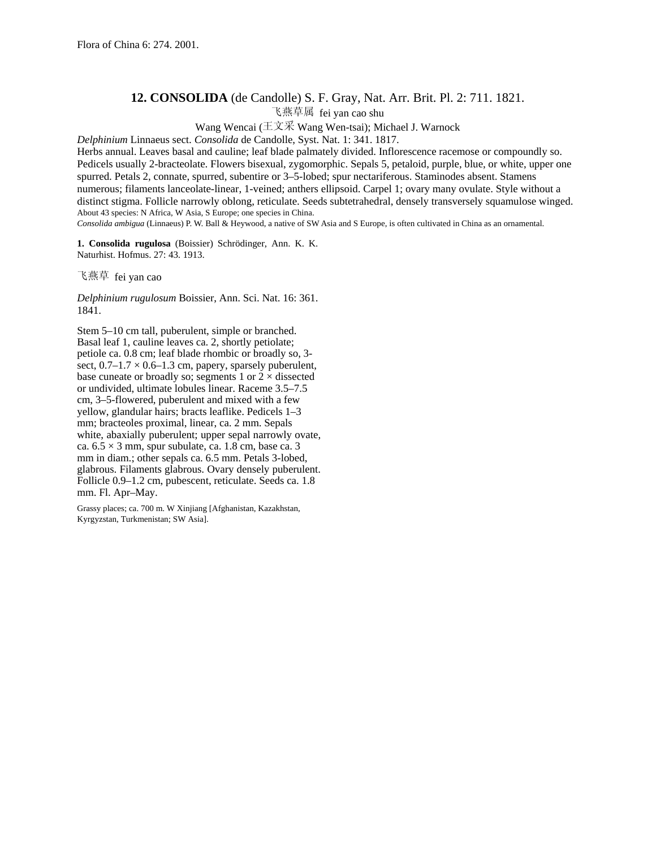## **12. CONSOLIDA** (de Candolle) S. F. Gray, Nat. Arr. Brit. Pl. 2: 711. 1821.

飞燕草属 fei yan cao shu

Wang Wencai ( $\pm \overline{\chi} \overline{\mathcal{R}}$  Wang Wen-tsai); Michael J. Warnock

*Delphinium* Linnaeus sect. *Consolida* de Candolle, Syst. Nat. 1: 341. 1817.

Herbs annual. Leaves basal and cauline; leaf blade palmately divided. Inflorescence racemose or compoundly so. Pedicels usually 2-bracteolate. Flowers bisexual, zygomorphic. Sepals 5, petaloid, purple, blue, or white, upper one spurred. Petals 2, connate, spurred, subentire or 3–5-lobed; spur nectariferous. Staminodes absent. Stamens numerous; filaments lanceolate-linear, 1-veined; anthers ellipsoid. Carpel 1; ovary many ovulate. Style without a distinct stigma. Follicle narrowly oblong, reticulate. Seeds subtetrahedral, densely transversely squamulose winged. About 43 species: N Africa, W Asia, S Europe; one species in China.

*Consolida ambigua* (Linnaeus) P. W. Ball & Heywood, a native of SW Asia and S Europe, is often cultivated in China as an ornamental.

**1. Consolida rugulosa** (Boissier) Schrödinger, Ann. K. K. Naturhist. Hofmus. 27: 43. 1913.

飞燕草 fei yan cao

*Delphinium rugulosum* Boissier, Ann. Sci. Nat. 16: 361. 1841.

Stem 5–10 cm tall, puberulent, simple or branched. Basal leaf 1, cauline leaves ca. 2, shortly petiolate; petiole ca. 0.8 cm; leaf blade rhombic or broadly so, 3 sect,  $0.7-1.7 \times 0.6-1.3$  cm, papery, sparsely puberulent, base cuneate or broadly so; segments 1 or  $2 \times$  dissected or undivided, ultimate lobules linear. Raceme 3.5–7.5 cm, 3–5-flowered, puberulent and mixed with a few yellow, glandular hairs; bracts leaflike. Pedicels 1–3 mm; bracteoles proximal, linear, ca. 2 mm. Sepals white, abaxially puberulent; upper sepal narrowly ovate, ca.  $6.5 \times 3$  mm, spur subulate, ca. 1.8 cm, base ca. 3 mm in diam.; other sepals ca. 6.5 mm. Petals 3-lobed, glabrous. Filaments glabrous. Ovary densely puberulent. Follicle 0.9–1.2 cm, pubescent, reticulate. Seeds ca. 1.8 mm. Fl. Apr–May.

Grassy places; ca. 700 m. W Xinjiang [Afghanistan, Kazakhstan, Kyrgyzstan, Turkmenistan; SW Asia].